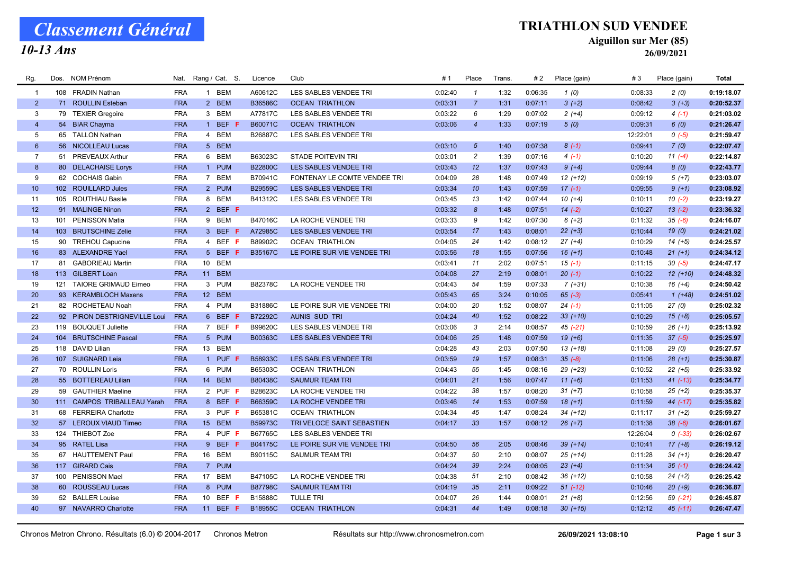# Classement Général

### 10-13 Ans

#### TRIATHLON SUD VENDEE

Aiguillon sur Mer (85)

26/09/2021

| Rg.            | Dos. | NOM Prénom                   | Nat.       | Rang / Cat. S.  |            | Licence        | Club                         | #1      | Place            | <b>Trans</b> | # 2     | Place (gain) | #3       | Place (gain) | <b>Total</b> |
|----------------|------|------------------------------|------------|-----------------|------------|----------------|------------------------------|---------|------------------|--------------|---------|--------------|----------|--------------|--------------|
| $\overline{1}$ |      | 108 FRADIN Nathan            | <b>FRA</b> | $\mathbf{1}$    | <b>BEM</b> | A60612C        | LES SABLES VENDEE TRI        | 0:02:40 | $\overline{1}$   | 1:32         | 0:06:35 | 1(0)         | 0:08:33  | 2(0)         | 0:19:18.07   |
| $\overline{2}$ |      | 71 ROULLIN Esteban           | <b>FRA</b> | 2 BEM           |            | B36586C        | <b>OCEAN TRIATHLON</b>       | 0:03:31 | $\overline{7}$   | 1:31         | 0:07:11 | $3(+2)$      | 0:08:42  | $3(+3)$      | 0:20:52.37   |
| 3              |      | 79 TEXIER Gregoire           | <b>FRA</b> | 3 BEM           |            | A77817C        | LES SABLES VENDEE TRI        | 0:03:22 | 6                | 1:29         | 0:07:02 | $2 (+4)$     | 0:09:12  | $4(-1)$      | 0:21:03.02   |
| $\overline{4}$ |      | 54 BIAR Chayma               | <b>FRA</b> |                 | 1 BEF F    | B60071C        | <b>OCEAN TRIATHLON</b>       | 0:03:06 | $\overline{4}$   | 1:33         | 0:07:19 | 5(0)         | 0:09:31  | 6(0)         | 0:21:26.47   |
| 5              |      | 65 TALLON Nathan             | <b>FRA</b> | $\overline{4}$  | <b>BEM</b> | B26887C        | LES SABLES VENDEE TRI        |         |                  |              |         |              | 12:22:01 | $0( -5)$     | 0:21:59.47   |
| $6\phantom{1}$ |      | 56 NICOLLEAU Lucas           | <b>FRA</b> | 5 BEM           |            |                |                              | 0:03:10 | $5\overline{5}$  | 1:40         | 0:07:38 | $8(-1)$      | 0:09:41  | 7(0)         | 0:22:07.47   |
| $\overline{7}$ |      | 51 PREVEAUX Arthur           | <b>FRA</b> | 6               | <b>BEM</b> | B63023C        | STADE POITEVIN TRI           | 0:03:01 | $\overline{c}$   | 1:39         | 0:07:16 | $4(-1)$      | 0:10:20  | $11(-4)$     | 0:22:14.87   |
| 8              |      | 80 DELACHAISE Lorys          | <b>FRA</b> | $\mathbf{1}$    | <b>PUM</b> | <b>B22800C</b> | <b>LES SABLES VENDEE TRI</b> | 0:03:43 | 12               | 1:37         | 0:07:43 | $9 (+4)$     | 0:09:44  | 8(0)         | 0:22:43.77   |
| 9              |      | 62 COCHAIS Gabin             | <b>FRA</b> | $\overline{7}$  | <b>BEM</b> | B70941C        | FONTENAY LE COMTE VENDEE TRI | 0:04:09 | 28               | 1:48         | 0:07:49 | $12(+12)$    | 0:09:19  | $5(+7)$      | 0:23:03.07   |
| 10             |      | 102 ROUILLARD Jules          | <b>FRA</b> | 2 PUM           |            | B29559C        | LES SABLES VENDEE TRI        | 0:03:34 | 10               | 1:43         | 0:07:59 | $17(-1)$     | 0:09:55  | $9 (+1)$     | 0:23:08.92   |
| 11             |      | 105 ROUTHIAU Basile          | <b>FRA</b> | 8 BEM           |            | B41312C        | LES SABLES VENDEE TRI        | 0:03:45 | 13               | 1:42         | 0:07:44 | $10(+4)$     | 0:10:11  | $10(-2)$     | 0:23:19.27   |
| 12             |      | 91 MALINGE Ninon             | <b>FRA</b> |                 | 2 BEF F    |                |                              | 0:03:32 | $\boldsymbol{8}$ | 1:48         | 0:07:51 | $14(-2)$     | 0:10:27  | $13(-2)$     | 0:23:36.32   |
| 13             | 101  | <b>PENISSON Matia</b>        | <b>FRA</b> | 9 BEM           |            | B47016C        | LA ROCHE VENDEE TRI          | 0:03:33 | 9                | 1:42         | 0:07:30 | $6 (+2)$     | 0:11:32  | $35(-6)$     | 0:24:16.07   |
| 14             |      | 103 BRUTSCHINE Zelie         | <b>FRA</b> |                 | 3 BEF F    | A72985C        | LES SABLES VENDEE TRI        | 0:03:54 | 17               | 1:43         | 0:08:01 | $22 (+3)$    | 0:10:44  | 19(0)        | 0:24:21.02   |
| 15             | 90   | TREHOU Capucine              | <b>FRA</b> | $\overline{4}$  | BEF F      | B89902C        | <b>OCEAN TRIATHLON</b>       | 0:04:05 | 24               | 1:42         | 0:08:12 | $27 (+4)$    | 0:10:29  | $14(+5)$     | 0:24:25.57   |
| 16             |      | 83 ALEXANDRE Yael            | <b>FRA</b> |                 | 5 BEF F    | B35167C        | LE POIRE SUR VIE VENDEE TRI  | 0:03:56 | 18               | 1:55         | 0:07:56 | $16(+1)$     | 0:10:48  | $21 (+1)$    | 0:24:34.12   |
| 17             |      | 81 GABORIEAU Martin          | <b>FRA</b> | 10 <sup>°</sup> | <b>BEM</b> |                |                              | 0:03:41 | 11               | 2:02         | 0:07:51 | $15(-1)$     | 0:11:15  | $30 (-5)$    | 0:24:47.17   |
| 18             |      | 113 GILBERT Loan             | <b>FRA</b> | 11              | <b>BEM</b> |                |                              | 0:04:08 | 27               | 2:19         | 0:08:01 | $20(-1)$     | 0:10:22  | $12(+10)$    | 0:24:48.32   |
| 19             | 121  | <b>TAIORE GRIMAUD Eimeo</b>  | <b>FRA</b> | 3 PUM           |            | B82378C        | LA ROCHE VENDEE TRI          | 0:04:43 | 54               | 1:59         | 0:07:33 | $7(+31)$     | 0:10:38  | $16 (+4)$    | 0:24:50.42   |
| 20             |      | 93 KERAMBLOCH Maxens         | <b>FRA</b> | 12 BEM          |            |                |                              | 0:05:43 | 65               | 3:24         | 0:10:05 | $65(-3)$     | 0:05:41  | $1(+48)$     | 0:24:51.02   |
| 21             |      | 82 ROCHETEAU Noah            | <b>FRA</b> | 4 PUM           |            | B31886C        | LE POIRE SUR VIE VENDEE TRI  | 0:04:00 | 20               | 1:52         | 0:08:07 | $24 (-1)$    | 0:11:05  | 27(0)        | 0:25:02.32   |
| 22             |      | 92 PIRON DESTRIGNEVILLE Loui | <b>FRA</b> |                 | 6 BEF F    | B72292C        | <b>AUNIS SUD TRI</b>         | 0:04:24 | 40               | 1:52         | 0:08:22 | $33 (+10)$   | 0:10:29  | $15 (+8)$    | 0:25:05.57   |
| 23             | 119  | <b>BOUQUET Juliette</b>      | <b>FRA</b> | $\overline{7}$  | BEF F      | B99620C        | LES SABLES VENDEE TRI        | 0:03:06 | 3                | 2:14         | 0:08:57 | 45 (-21)     | 0:10:59  | $26 (+1)$    | 0:25:13.92   |
| 24             |      | 104 BRUTSCHINE Pascal        | <b>FRA</b> | 5 PUM           |            | B00363C        | LES SABLES VENDEE TRI        | 0:04:06 | 25               | 1:48         | 0:07:59 | $19(+6)$     | 0:11:35  | $37(-5)$     | 0:25:25.97   |
| 25             |      | 118 DAVID Lilian             | <b>FRA</b> | 13              | <b>BEM</b> |                |                              | 0:04:28 | 43               | 2:03         | 0:07:50 | $13(+18)$    | 0:11:08  | 29(0)        | 0:25:27.57   |
| 26             |      | 107 SUIGNARD Leia            | <b>FRA</b> | $\mathbf{1}$    | PUF F      | B58933C        | LES SABLES VENDEE TRI        | 0:03:59 | 19               | 1:57         | 0:08:31 | $35(-8)$     | 0:11:06  | $28 (+1)$    | 0:25:30.87   |
| 27             |      | 70 ROULLIN Loris             | <b>FRA</b> | 6               | <b>PUM</b> | B65303C        | <b>OCEAN TRIATHLON</b>       | 0:04:43 | 55               | 1:45         | 0:08:16 | 29 (+23)     | 0:10:52  | $22 (+5)$    | 0:25:33.92   |
| 28             |      | 55 BOTTEREAU Lilian          | <b>FRA</b> | 14              | <b>BEM</b> | B80438C        | <b>SAUMUR TEAM TRI</b>       | 0:04:01 | 21               | 1:56         | 0:07:47 | $11 (+6)$    | 0:11:53  | $41 (-13)$   | 0:25:34.77   |
| 29             |      | 59 GAUTHIER Maeline          | <b>FRA</b> |                 | 2 PUF F    | B28623C        | LA ROCHE VENDEE TRI          | 0:04:22 | 38               | 1:57         | 0:08:20 | $31 (+7)$    | 0:10:58  | $25 (+2)$    | 0:25:35.37   |
| 30             |      | 111 CAMPOS TRIBALLEAU Yarah  | <b>FRA</b> |                 | 8 BEF F    | B66359C        | LA ROCHE VENDEE TRI          | 0:03:46 | 14               | 1:53         | 0:07:59 | $18 (+1)$    | 0:11:59  | 44 (-17)     | 0:25:35.82   |
| 31             |      | 68 FERREIRA Charlotte        | <b>FRA</b> |                 | 3 PUF F    | B65381C        | <b>OCEAN TRIATHLON</b>       | 0:04:34 | 45               | 1:47         | 0:08:24 | 34 (+12)     | 0:11:17  | $31 (+2)$    | 0:25:59.27   |
| 32             |      | 57 LEROUX VIAUD Timeo        | <b>FRA</b> | 15 BEM          |            | B59973C        | TRI VELOCE SAINT SEBASTIEN   | 0:04:17 | 33               | 1:57         | 0:08:12 | $26 (+7)$    | 0:11:38  | $38(-6)$     | 0:26:01.67   |
| 33             | 124  | <b>THIEBOT Zoe</b>           | <b>FRA</b> | $\overline{4}$  | PUF F      | B67765C        | LES SABLES VENDEE TRI        |         |                  |              |         |              | 12:26:04 | $0( -33)$    | 0:26:02.67   |
| 34             |      | 95 RATEL Lisa                | <b>FRA</b> |                 | 9 BEF F    | B04175C        | LE POIRE SUR VIE VENDEE TRI  | 0:04:50 | 56               | 2:05         | 0:08:46 | $39 (+14)$   | 0:10:41  | $17(+8)$     | 0:26:19.12   |
| 35             |      | 67 HAUTTEMENT Paul           | <b>FRA</b> | 16              | <b>BEM</b> | B90115C        | <b>SAUMUR TEAM TRI</b>       | 0:04:37 | 50               | 2:10         | 0:08:07 | $25 (+14)$   | 0:11:28  | $34 (+1)$    | 0:26:20.47   |
| 36             |      | 117 GIRARD Cais              | <b>FRA</b> | $7^{\circ}$     | <b>PUM</b> |                |                              | 0:04:24 | 39               | 2:24         | 0:08:05 | $23 (+4)$    | 0:11:34  | $36(-1)$     | 0:26:24.42   |
| 37             | 100  | PENISSON Mael                | <b>FRA</b> | 17              | <b>BEM</b> | B47105C        | LA ROCHE VENDEE TRI          | 0:04:38 | 51               | 2:10         | 0:08:42 | $36 (+12)$   | 0:10:58  | $24 (+2)$    | 0:26:25.42   |
| 38             |      | 60 ROUSSEAU Lucas            | <b>FRA</b> | 8 <sup>°</sup>  | <b>PUM</b> | <b>B87798C</b> | <b>SAUMUR TEAM TRI</b>       | 0:04:19 | 35               | 2:11         | 0:09:22 | $51 (-12)$   | 0:10:46  | $20 (+9)$    | 0:26:36.87   |
| 39             |      | 52 BALLER Louise             | <b>FRA</b> | 10 <sup>°</sup> | BEF F      | B15888C        | <b>TULLE TRI</b>             | 0:04:07 | 26               | 1:44         | 0:08:01 | $21 (+8)$    | 0:12:56  | 59 (-21)     | 0:26:45.87   |
| 40             |      | 97 NAVARRO Charlotte         | <b>FRA</b> |                 | 11 BEF F   | B18955C        | <b>OCEAN TRIATHLON</b>       | 0:04:31 | 44               | 1:49         | 0:08:18 | $30 (+15)$   | 0:12:12  | $45$ $(-11)$ | 0:26:47.47   |
|                |      |                              |            |                 |            |                |                              |         |                  |              |         |              |          |              |              |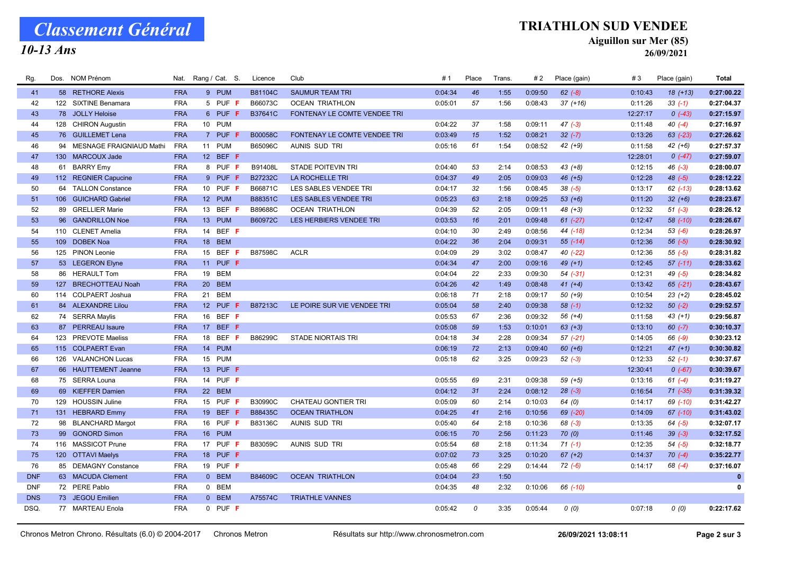## Classement Général

### 10-13 Ans

#### TRIATHLON SUD VENDEE

Aiguillon sur Mer (85)

26/09/2021

| Rg.        | Dos. | NOM Prénom                  | Nat.       | Rang / Cat. S.            | Licence | Club                         | #1      | Place | Trans. | #2      | Place (gain) | #3       | Place (gain) | <b>Total</b> |
|------------|------|-----------------------------|------------|---------------------------|---------|------------------------------|---------|-------|--------|---------|--------------|----------|--------------|--------------|
| 41         |      | 58 RETHORE Alexis           | <b>FRA</b> | 9 PUM                     | B81104C | <b>SAUMUR TEAM TRI</b>       | 0:04:34 | 46    | 1:55   | 0:09:50 | $62 (-8)$    | 0:10:43  | $18(+13)$    | 0:27:00.22   |
| 42         |      | 122 SIXTINE Benamara        | <b>FRA</b> | 5 PUF F                   | B66073C | <b>OCEAN TRIATHLON</b>       | 0:05:01 | 57    | 1:56   | 0:08:43 | $37 (+16)$   | 0:11:26  | $33(-1)$     | 0:27:04.37   |
| 43         |      | 78 JOLLY Heloise            | <b>FRA</b> | 6 PUF F                   | B37641C | FONTENAY LE COMTE VENDEE TRI |         |       |        |         |              | 12:27:17 | $0( -43)$    | 0:27:15.97   |
| 44         |      | 128 CHIRON Augustin         | <b>FRA</b> | 10 PUM                    |         |                              | 0:04:22 | 37    | 1:58   | 0:09:11 | $47 (-3)$    | 0:11:48  | $40(-4)$     | 0:27:16.97   |
| 45         |      | 76 GUILLEMET Lena           | <b>FRA</b> | 7 PUF F                   | B00058C | FONTENAY LE COMTE VENDEE TRI | 0:03:49 | 15    | 1:52   | 0:08:21 | $32(-7)$     | 0:13:26  | $63$ $(-23)$ | 0:27:26.62   |
| 46         |      | 94 MESNAGE FRAIGNIAUD Mathi | <b>FRA</b> | 11 PUM                    | B65096C | AUNIS SUD TRI                | 0:05:16 | 61    | 1:54   | 0:08:52 | $42 (+9)$    | 0:11:58  | $42 (+6)$    | 0:27:57.37   |
| 47         |      | 130 MARCOUX Jade            | <b>FRA</b> | 12 BEF F                  |         |                              |         |       |        |         |              | 12:28:01 | $0( -47)$    | 0:27:59.07   |
| 48         |      | 61 BARRY Emy                | <b>FRA</b> | 8 PUF F                   | B91408L | <b>STADE POITEVIN TRI</b>    | 0:04:40 | 53    | 2:14   | 0:08:53 | $43 (+8)$    | 0:12:15  | $46(-3)$     | 0:28:00.07   |
| 49         |      | 112 REGNIER Capucine        | <b>FRA</b> | 9 PUF F                   | B27232C | <b>LA ROCHELLE TRI</b>       | 0:04:37 | 49    | 2:05   | 0:09:03 | $46 (+5)$    | 0:12:28  | $48$ $(-5)$  | 0:28:12.22   |
| 50         |      | 64 TALLON Constance         | <b>FRA</b> | 10 PUF F                  | B66871C | LES SABLES VENDEE TRI        | 0:04:17 | 32    | 1:56   | 0:08:45 | $38(-5)$     | 0:13:17  | $62$ (-13)   | 0:28:13.62   |
| 51         |      | 106 GUICHARD Gabriel        | <b>FRA</b> | 12 PUM                    | B88351C | LES SABLES VENDEE TRI        | 0:05:23 | 63    | 2:18   | 0:09:25 | $53 (+6)$    | 0:11:20  | $32 (+6)$    | 0:28:23.67   |
| 52         |      | 89 GRELLIER Marie           | <b>FRA</b> | 13 BEF F                  | B89688C | <b>OCEAN TRIATHLON</b>       | 0:04:39 | 52    | 2:05   | 0:09:11 | $48 (+3)$    | 0:12:32  | $51 (-3)$    | 0:28:26.12   |
| 53         |      | 96 GANDRILLON Noe           | <b>FRA</b> | 13 PUM                    | B60972C | LES HERBIERS VENDEE TRI      | 0:03:53 | 16    | 2:01   | 0:09:48 | $61 (-27)$   | 0:12:47  | 58 (-10)     | 0:28:26.67   |
| 54         |      | 110 CLENET Amelia           | <b>FRA</b> | BEF F<br>14               |         |                              | 0:04:10 | 30    | 2:49   | 0:08:56 | 44 (-18)     | 0:12:34  | $53(-6)$     | 0:28:26.97   |
| 55         |      | 109 DOBEK Noa               | <b>FRA</b> | 18 BEM                    |         |                              | 0:04:22 | 36    | 2:04   | 0:09:31 | $55(-14)$    | 0:12:36  | $56(-5)$     | 0:28:30.92   |
| 56         |      | 125 PINON Leonie            | <b>FRA</b> | 15 BEF<br>-F              | B87598C | <b>ACLR</b>                  | 0:04:09 | 29    | 3:02   | 0:08:47 | $40(-22)$    | 0:12:36  | $55 (-5)$    | 0:28:31.82   |
| 57         |      | 53 LEGERON Elyne            | <b>FRA</b> | 11 PUF F                  |         |                              | 0:04:34 | 47    | 2:00   | 0:09:16 | 49 $(+1)$    | 0:12:45  | $57(-11)$    | 0:28:33.62   |
| 58         |      | 86 HERAULT Tom              | <b>FRA</b> | 19 BEM                    |         |                              | 0:04:04 | 22    | 2:33   | 0:09:30 | $54$ $(-31)$ | 0:12:31  | $49(-5)$     | 0:28:34.82   |
| 59         |      | 127 BRECHOTTEAU Noah        | <b>FRA</b> | 20 BEM                    |         |                              | 0:04:26 | 42    | 1:49   | 0:08:48 | $41 (+4)$    | 0:13:42  | $65 (-21)$   | 0:28:43.67   |
| 60         |      | 114 COLPAERT Joshua         | <b>FRA</b> | <b>BEM</b><br>21          |         |                              | 0:06:18 | 71    | 2:18   | 0:09:17 | $50(+9)$     | 0:10:54  | $23 (+2)$    | 0:28:45.02   |
| 61         |      | 84 ALEXANDRE Lilou          | <b>FRA</b> | 12 PUF F                  | B87213C | LE POIRE SUR VIE VENDEE TRI  | 0:05:04 | 58    | 2:40   | 0:09:38 | $58(-1)$     | 0:12:32  | $50(-2)$     | 0:29:52.57   |
| 62         |      | 74 SERRA Maylis             | <b>FRA</b> | 16 BEF F                  |         |                              | 0:05:53 | 67    | 2:36   | 0:09:32 | $56(+4)$     | 0:11:58  | $43 (+1)$    | 0:29:56.87   |
| 63         |      | 87 PERREAU Isaure           | <b>FRA</b> | 17 BEF F                  |         |                              | 0:05:08 | 59    | 1:53   | 0:10:01 | $63 (+3)$    | 0:13:10  | $60 (-7)$    | 0:30:10.37   |
| 64         | 123  | <b>PREVOTE Maeliss</b>      | <b>FRA</b> | 18 BEF F                  | B86299C | <b>STADE NIORTAIS TRI</b>    | 0:04:18 | 34    | 2:28   | 0:09:34 | $57$ $(-21)$ | 0:14:05  | 66 (-9)      | 0:30:23.12   |
| 65         |      | 115 COLPAERT Evan           | <b>FRA</b> | 14 PUM                    |         |                              | 0:06:19 | 72    | 2:13   | 0:09:40 | $60 (+6)$    | 0:12:21  | $47 (+1)$    | 0:30:30.82   |
| 66         |      | 126 VALANCHON Lucas         | <b>FRA</b> | 15 PUM                    |         |                              | 0:05:18 | 62    | 3:25   | 0:09:23 | $52 (-3)$    | 0:12:33  | $52(-1)$     | 0:30:37.67   |
| 67         |      | 66 HAUTTEMENT Jeanne        | <b>FRA</b> | 13 PUF F                  |         |                              |         |       |        |         |              | 12:30:41 | $0$ (-67)    | 0:30:39.67   |
| 68         |      | 75 SERRA Louna              | <b>FRA</b> | 14 PUF F                  |         |                              | 0:05:55 | 69    | 2:31   | 0:09:38 | $59(+5)$     | 0:13:16  | $61 (-4)$    | 0:31:19.27   |
| 69         |      | 69 KIEFFER Damien           | <b>FRA</b> | 22 BEM                    |         |                              | 0:04:12 | 31    | 2:24   | 0:08:12 | $28(-3)$     | 0:16:54  | $71$ (-35)   | 0:31:39.32   |
| 70         |      | 129 HOUSSIN Juline          | <b>FRA</b> | 15 PUF F                  | B30990C | <b>CHATEAU GONTIER TRI</b>   | 0:05:09 | 60    | 2:14   | 0:10:03 | 64 (0)       | 0:14:17  | 69 (-10)     | 0:31:42.27   |
| 71         |      | 131 HEBRARD Emmy            | <b>FRA</b> | 19 BEF F                  | B88435C | <b>OCEAN TRIATHLON</b>       | 0:04:25 | 41    | 2:16   | 0:10:56 | 69 (-20)     | 0:14:09  | $67$ $(-10)$ | 0:31:43.02   |
| 72         |      | 98 BLANCHARD Margot         | <b>FRA</b> | 16 PUF F                  | B83136C | AUNIS SUD TRI                | 0:05:40 | 64    | 2:18   | 0:10:36 | $68 (-3)$    | 0:13:35  | $64 (-5)$    | 0:32:07.17   |
| 73         |      | 99 GONORD Simon             | <b>FRA</b> | 16 PUM                    |         |                              | 0:06:15 | 70    | 2:56   | 0:11:23 | 70(0)        | 0:11:46  | $39(-3)$     | 0:32:17.52   |
| 74         |      | 116 MASSICOT Prune          | <b>FRA</b> | 17 PUF F                  | B83059C | AUNIS SUD TRI                | 0:05:54 | 68    | 2:18   | 0:11:34 | $71(-1)$     | 0:12:35  | $54(-5)$     | 0:32:18.77   |
| 75         |      | 120 OTTAVI Maelys           | <b>FRA</b> | 18 PUF F                  |         |                              | 0:07:02 | 73    | 3:25   | 0:10:20 | $67 (+2)$    | 0:14:37  | $70(-4)$     | 0:35:22.77   |
| 76         |      | 85 DEMAGNY Constance        | <b>FRA</b> | 19 PUF F                  |         |                              | 0:05:48 | 66    | 2:29   | 0:14:44 | $72( -6)$    | 0:14:17  | $68 (-4)$    | 0:37:16.07   |
| <b>DNF</b> |      | 63 MACUDA Clement           | <b>FRA</b> | 0 BEM                     | B84609C | <b>OCEAN TRIATHLON</b>       | 0:04:04 | 23    | 1:50   |         |              |          |              | $\mathbf{0}$ |
| <b>DNF</b> |      | 72 PERE Pablo               | <b>FRA</b> | $\mathbf 0$<br><b>BEM</b> |         |                              | 0:04:35 | 48    | 2:32   | 0:10:06 | 66 (-10)     |          |              | $\mathbf 0$  |
| <b>DNS</b> |      | 73 JEGOU Emilien            | <b>FRA</b> | 0 BEM                     | A75574C | <b>TRIATHLE VANNES</b>       |         |       |        |         |              |          |              |              |
| DSQ.       |      | 77 MARTEAU Enola            | <b>FRA</b> | $0$ PUF F                 |         |                              | 0:05:42 | 0     | 3:35   | 0:05:44 | 0(0)         | 0:07:18  | 0(0)         | 0:22:17.62   |
|            |      |                             |            |                           |         |                              |         |       |        |         |              |          |              |              |